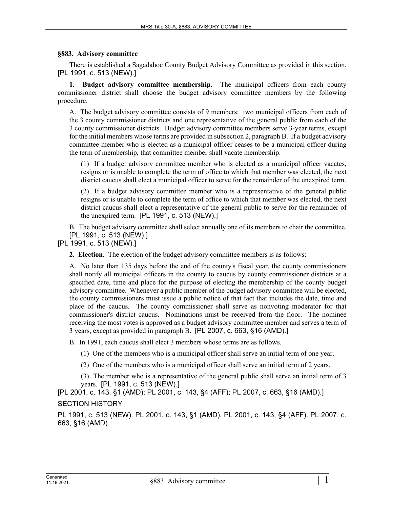## **§883. Advisory committee**

There is established a Sagadahoc County Budget Advisory Committee as provided in this section. [PL 1991, c. 513 (NEW).]

**1. Budget advisory committee membership.** The municipal officers from each county commissioner district shall choose the budget advisory committee members by the following procedure.

A. The budget advisory committee consists of 9 members: two municipal officers from each of the 3 county commissioner districts and one representative of the general public from each of the 3 county commissioner districts. Budget advisory committee members serve 3-year terms, except for the initial members whose terms are provided in subsection 2, paragraph B. If a budget advisory committee member who is elected as a municipal officer ceases to be a municipal officer during the term of membership, that committee member shall vacate membership.

(1) If a budget advisory committee member who is elected as a municipal officer vacates, resigns or is unable to complete the term of office to which that member was elected, the next district caucus shall elect a municipal officer to serve for the remainder of the unexpired term.

(2) If a budget advisory committee member who is a representative of the general public resigns or is unable to complete the term of office to which that member was elected, the next district caucus shall elect a representative of the general public to serve for the remainder of the unexpired term. [PL 1991, c. 513 (NEW).]

B. The budget advisory committee shall select annually one of its members to chair the committee. [PL 1991, c. 513 (NEW).]

[PL 1991, c. 513 (NEW).]

**2. Election.** The election of the budget advisory committee members is as follows:

A. No later than 135 days before the end of the county's fiscal year, the county commissioners shall notify all municipal officers in the county to caucus by county commissioner districts at a specified date, time and place for the purpose of electing the membership of the county budget advisory committee. Whenever a public member of the budget advisory committee will be elected, the county commissioners must issue a public notice of that fact that includes the date, time and place of the caucus. The county commissioner shall serve as nonvoting moderator for that commissioner's district caucus. Nominations must be received from the floor. The nominee receiving the most votes is approved as a budget advisory committee member and serves a term of 3 years, except as provided in paragraph B. [PL 2007, c. 663, §16 (AMD).]

B. In 1991, each caucus shall elect 3 members whose terms are as follows.

(1) One of the members who is a municipal officer shall serve an initial term of one year.

(2) One of the members who is a municipal officer shall serve an initial term of 2 years.

(3) The member who is a representative of the general public shall serve an initial term of 3 years. [PL 1991, c. 513 (NEW).]

[PL 2001, c. 143, §1 (AMD); PL 2001, c. 143, §4 (AFF); PL 2007, c. 663, §16 (AMD).] SECTION HISTORY

PL 1991, c. 513 (NEW). PL 2001, c. 143, §1 (AMD). PL 2001, c. 143, §4 (AFF). PL 2007, c. 663, §16 (AMD).